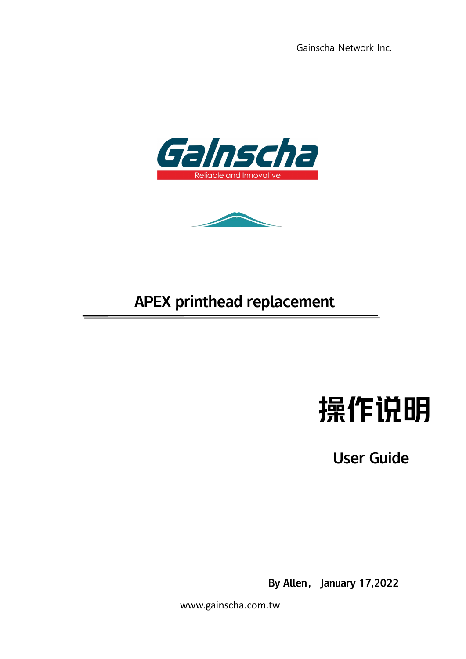Gainscha Network Inc.





## APEX printhead replacement



User Guide

By Allen, January 17,2022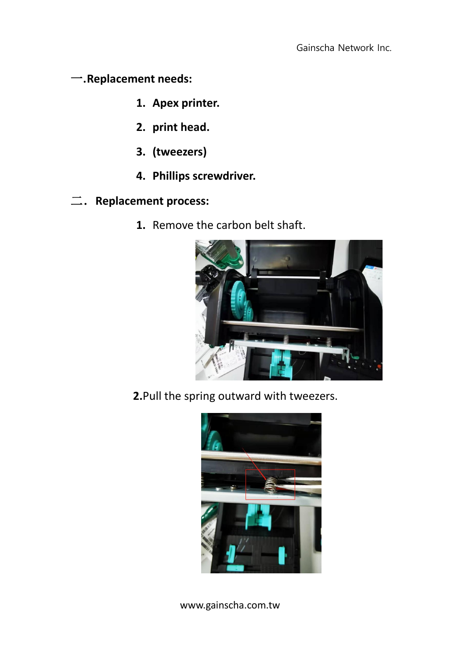一**.Replacement needs:**

- **1. Apex printer.**
- **2. print head.**
- **3. (tweezers)**
- **4. Phillips screwdriver.**
- 二.**Replacement process:**
	- **1.** Remove the carbon belt shaft.



**2.**Pull the spring outward with tweezers.

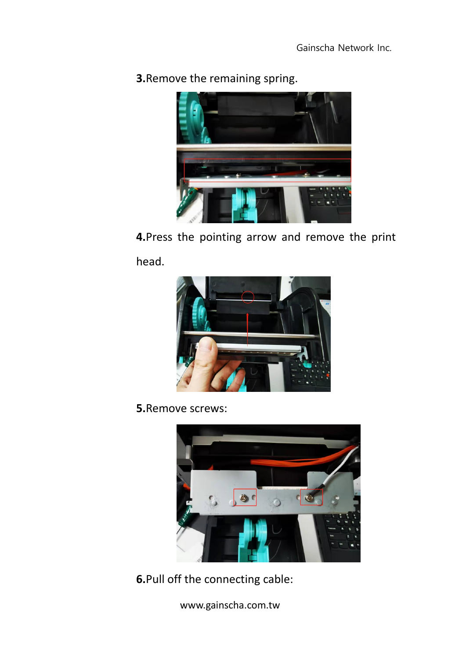

**3.**Remove the remaining spring.

**4.**Press the pointing arrow and remove the print head.



**5.**Remove screws:



**6.**Pull off the connecting cable: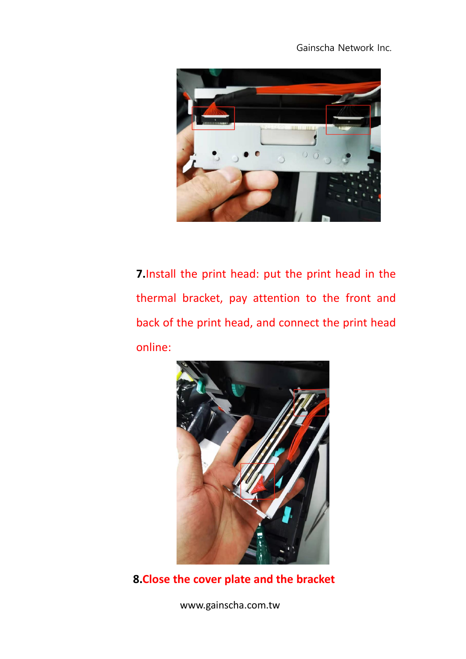Gainscha Network Inc.



**7.**Install the print head: put the print head in the thermal bracket, pay attention to the front and back of the print head, and connect the print head online:



**8.Close the cover plate and the bracket**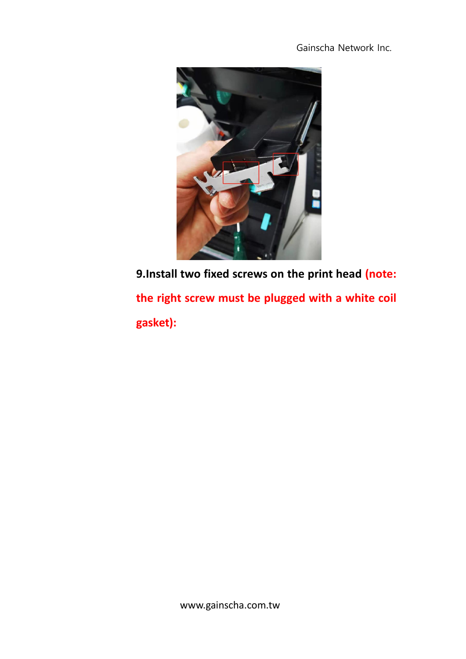Gainscha Network Inc.



**9.Install two fixed screws on the print head (note: the right screw must be plugged with a white coil gasket):**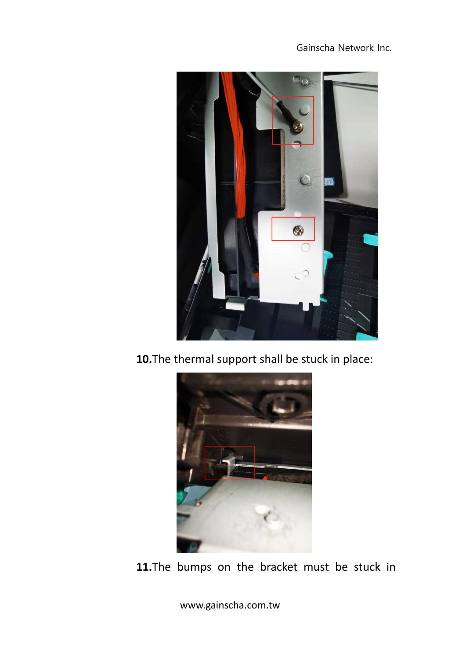

**10.**The thermal support shall be stuck in place:



**11.**The bumps on the bracket must be stuck in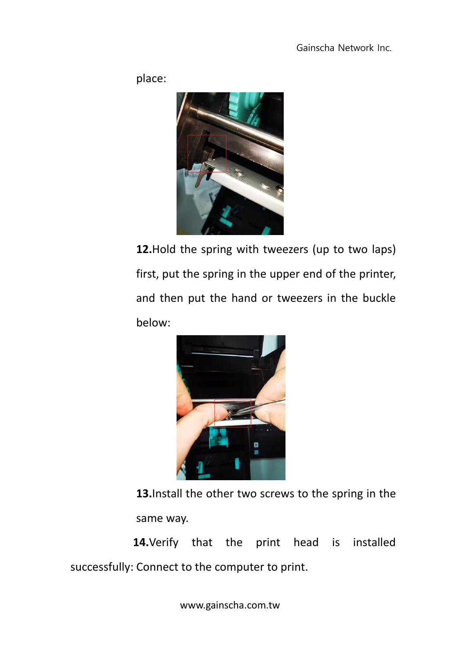place:



**12.**Hold the spring with tweezers (up to two laps) first, put the spring in the upper end of the printer, and then put the hand or tweezers in the buckle below:



**13.**Install the other two screws to the spring in the same way.

**14.**Verify that the print head is installed successfully: Connect to the computer to print.